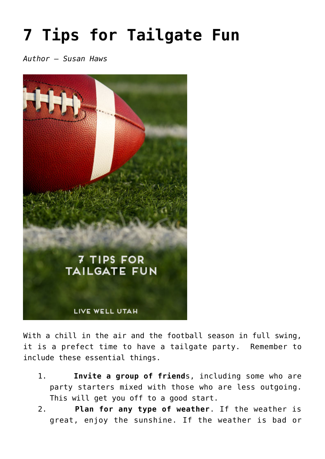## **[7 Tips for Tailgate Fun](https://livewellutah.org/2014/10/22/7-tips-for-tailgate-fun/)**

*Author – Susan Haws*



With a chill in the air and the football season in full swing, it is a prefect time to have a tailgate party. Remember to include these essential things.

- 1. **Invite a group of friend**s, including some who are party starters mixed with those who are less outgoing. This will get you off to a good start.
- 2. **Plan for any type of weather**. If the weather is great, enjoy the sunshine. If the weather is bad or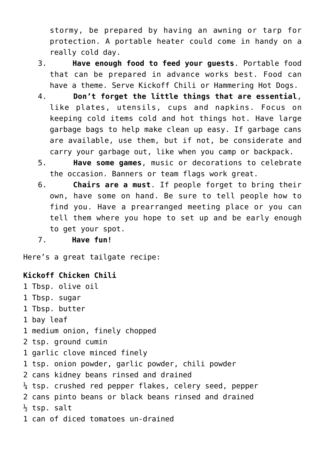stormy, be prepared by having an awning or tarp for protection. A portable heater could come in handy on a really cold day.

- 3. **Have enough food to feed your guests**. Portable food that can be prepared in advance works best. Food can have a theme. Serve Kickoff Chili or Hammering Hot Dogs.
- 4. **Don't forget the little things that are essential**, like plates, utensils, cups and napkins. Focus on keeping cold items cold and hot things hot. Have large garbage bags to help make clean up easy. If garbage cans are available, use them, but if not, be considerate and carry your garbage out, like when you camp or backpack.
- 5. **Have some games**, music or decorations to celebrate the occasion. Banners or team flags work great.
- 6. **Chairs are a must**. If people forget to bring their own, have some on hand. Be sure to tell people how to find you. Have a prearranged meeting place or you can tell them where you hope to set up and be early enough to get your spot.
- 7. **Have fun!**

Here's a great tailgate recipe:

## **Kickoff Chicken Chili**

- 1 Tbsp. olive oil
- 1 Tbsp. sugar
- 1 Tbsp. butter
- 1 bay leaf
- 1 medium onion, finely chopped
- 2 tsp. ground cumin
- 1 garlic clove minced finely
- 1 tsp. onion powder, garlic powder, chili powder
- 2 cans kidney beans rinsed and drained
- $\frac{1}{4}$  tsp. crushed red pepper flakes, celery seed, pepper
- 2 cans pinto beans or black beans rinsed and drained
- $\frac{1}{2}$  tsp. salt
- 1 can of diced tomatoes un-drained